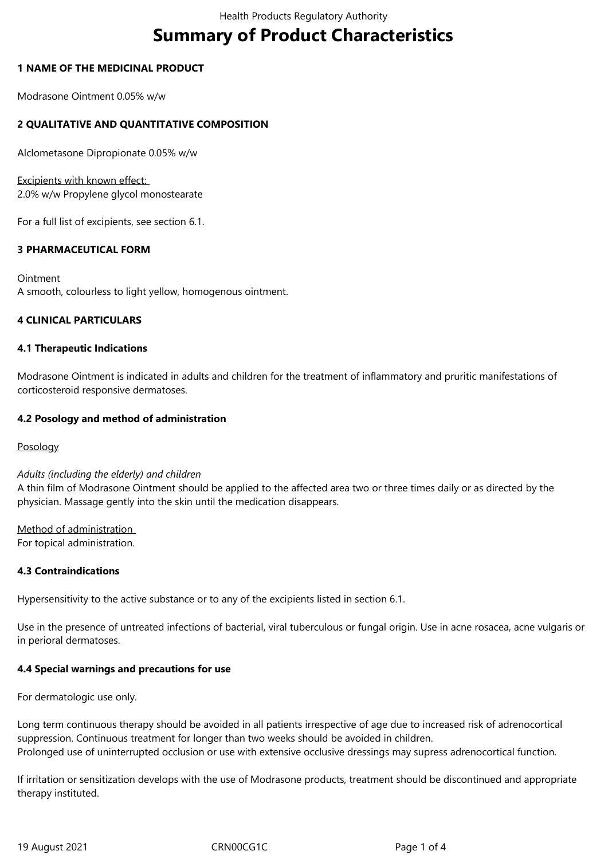# **Summary of Product Characteristics**

## **1 NAME OF THE MEDICINAL PRODUCT**

Modrasone Ointment 0.05% w/w

# **2 QUALITATIVE AND QUANTITATIVE COMPOSITION**

Alclometasone Dipropionate 0.05% w/w

Excipients with known effect: 2.0% w/w Propylene glycol monostearate

For a full list of excipients, see section 6.1.

## **3 PHARMACEUTICAL FORM**

Ointment A smooth, colourless to light yellow, homogenous ointment.

## **4 CLINICAL PARTICULARS**

## **4.1 Therapeutic Indications**

Modrasone Ointment is indicated in adults and children for the treatment of inflammatory and pruritic manifestations of corticosteroid responsive dermatoses.

## **4.2 Posology and method of administration**

Posology

#### *Adults (including the elderly) and children*

A thin film of Modrasone Ointment should be applied to the affected area two or three times daily or as directed by the physician. Massage gently into the skin until the medication disappears.

Method of administration For topical administration.

## **4.3 Contraindications**

Hypersensitivity to the active substance or to any of the excipients listed in section 6.1.

Use in the presence of untreated infections of bacterial, viral tuberculous or fungal origin. Use in acne rosacea, acne vulgaris or in perioral dermatoses.

## **4.4 Special warnings and precautions for use**

For dermatologic use only.

Long term continuous therapy should be avoided in all patients irrespective of age due to increased risk of adrenocortical suppression. Continuous treatment for longer than two weeks should be avoided in children. Prolonged use of uninterrupted occlusion or use with extensive occlusive dressings may supress adrenocortical function.

If irritation or sensitization develops with the use of Modrasone products, treatment should be discontinued and appropriate therapy instituted.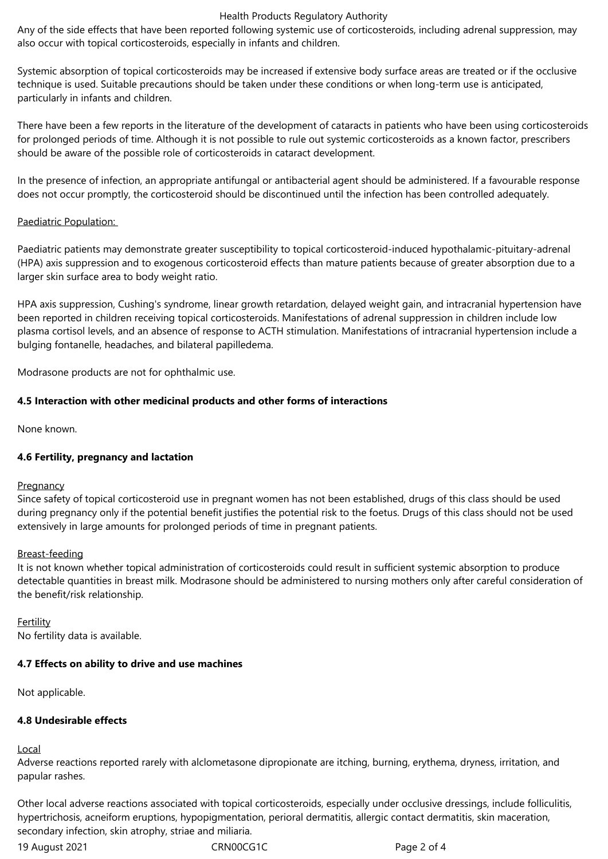#### Health Products Regulatory Authority

Any of the side effects that have been reported following systemic use of corticosteroids, including adrenal suppression, may also occur with topical corticosteroids, especially in infants and children.

Systemic absorption of topical corticosteroids may be increased if extensive body surface areas are treated or if the occlusive technique is used. Suitable precautions should be taken under these conditions or when long-term use is anticipated, particularly in infants and children.

There have been a few reports in the literature of the development of cataracts in patients who have been using corticosteroids for prolonged periods of time. Although it is not possible to rule out systemic corticosteroids as a known factor, prescribers should be aware of the possible role of corticosteroids in cataract development.

In the presence of infection, an appropriate antifungal or antibacterial agent should be administered. If a favourable response does not occur promptly, the corticosteroid should be discontinued until the infection has been controlled adequately.

## Paediatric Population:

Paediatric patients may demonstrate greater susceptibility to topical corticosteroid-induced hypothalamic-pituitary-adrenal (HPA) axis suppression and to exogenous corticosteroid effects than mature patients because of greater absorption due to a larger skin surface area to body weight ratio.

HPA axis suppression, Cushing's syndrome, linear growth retardation, delayed weight gain, and intracranial hypertension have been reported in children receiving topical corticosteroids. Manifestations of adrenal suppression in children include low plasma cortisol levels, and an absence of response to ACTH stimulation. Manifestations of intracranial hypertension include a bulging fontanelle, headaches, and bilateral papilledema.

Modrasone products are not for ophthalmic use.

## **4.5 Interaction with other medicinal products and other forms of interactions**

None known.

## **4.6 Fertility, pregnancy and lactation**

## **Pregnancy**

Since safety of topical corticosteroid use in pregnant women has not been established, drugs of this class should be used during pregnancy only if the potential benefit justifies the potential risk to the foetus. Drugs of this class should not be used extensively in large amounts for prolonged periods of time in pregnant patients.

## Breast-feeding

It is not known whether topical administration of corticosteroids could result in sufficient systemic absorption to produce detectable quantities in breast milk. Modrasone should be administered to nursing mothers only after careful consideration of the benefit/risk relationship.

**Fertility** No fertility data is available.

## **4.7 Effects on ability to drive and use machines**

Not applicable.

## **4.8 Undesirable effects**

Local

Adverse reactions reported rarely with alclometasone dipropionate are itching, burning, erythema, dryness, irritation, and papular rashes.

Other local adverse reactions associated with topical corticosteroids, especially under occlusive dressings, include folliculitis, hypertrichosis, acneiform eruptions, hypopigmentation, perioral dermatitis, allergic contact dermatitis, skin maceration, secondary infection, skin atrophy, striae and miliaria.

19 August 2021 CRN00CG1C Page 2 of 4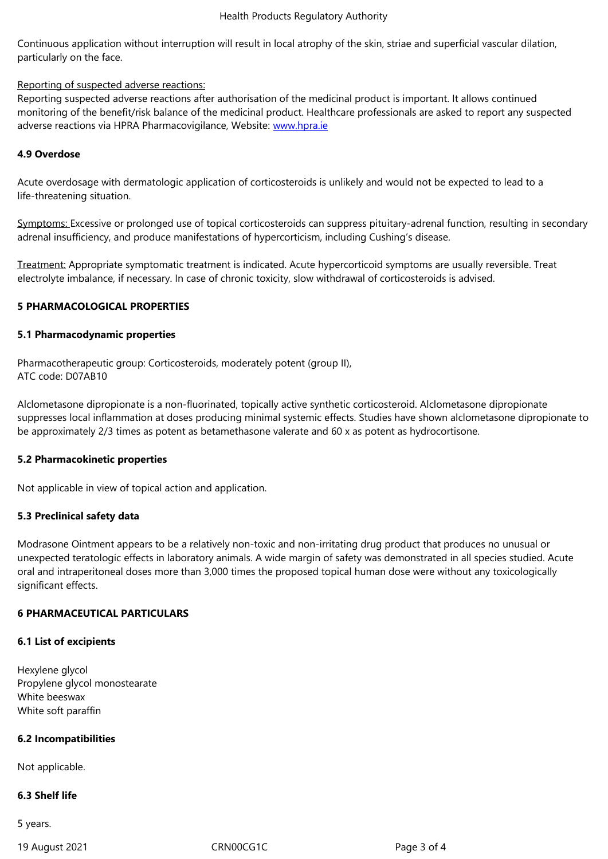particularly on the face.

#### Reporting of suspected adverse reactions:

Reporting suspected adverse reactions after authorisation of the medicinal product is important. It allows continued monitoring of the benefit/risk balance of the medicinal product. Healthcare professionals are asked to report any suspected adverse reactions via HPRA Pharmacovigilance, Website: www.hpra.ie

## **4.9 Overdose**

Acute overdosage with dermatologic application of corti[costeroids is](http://www.hpra.ie/) unlikely and would not be expected to lead to a life-threatening situation.

Symptoms: Excessive or prolonged use of topical corticosteroids can suppress pituitary-adrenal function, resulting in secondary adrenal insufficiency, and produce manifestations of hypercorticism, including Cushing's disease.

Treatment: Appropriate symptomatic treatment is indicated. Acute hypercorticoid symptoms are usually reversible. Treat electrolyte imbalance, if necessary. In case of chronic toxicity, slow withdrawal of corticosteroids is advised.

## **5 PHARMACOLOGICAL PROPERTIES**

## **5.1 Pharmacodynamic properties**

Pharmacotherapeutic group: Corticosteroids, moderately potent (group II), ATC code: D07AB10

Alclometasone dipropionate is a non-fluorinated, topically active synthetic corticosteroid. Alclometasone dipropionate suppresses local inflammation at doses producing minimal systemic effects. Studies have shown alclometasone dipropionate to be approximately 2/3 times as potent as betamethasone valerate and 60 x as potent as hydrocortisone.

## **5.2 Pharmacokinetic properties**

Not applicable in view of topical action and application.

## **5.3 Preclinical safety data**

Modrasone Ointment appears to be a relatively non-toxic and non-irritating drug product that produces no unusual or unexpected teratologic effects in laboratory animals. A wide margin of safety was demonstrated in all species studied. Acute oral and intraperitoneal doses more than 3,000 times the proposed topical human dose were without any toxicologically significant effects.

## **6 PHARMACEUTICAL PARTICULARS**

## **6.1 List of excipients**

Hexylene glycol Propylene glycol monostearate White beeswax White soft paraffin

## **6.2 Incompatibilities**

Not applicable.

#### **6.3 Shelf life**

5 years.

19 August 2021 CRN00CG1C Page 3 of 4